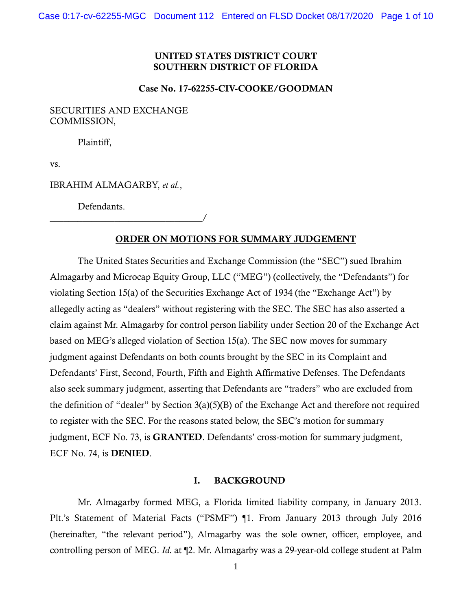# UNITED STATES DISTRICT COURT SOUTHERN DISTRICT OF FLORIDA

### Case No. 17-62255-CIV-COOKE/GOODMAN

# SECURITIES AND EXCHANGE COMMISSION,

Plaintiff,

vs.

IBRAHIM ALMAGARBY, *et al.*,

\_\_\_\_\_\_\_\_\_\_\_\_\_\_\_\_\_\_\_\_\_\_\_\_\_\_\_\_\_\_\_\_\_/

Defendants.

# ORDER ON MOTIONS FOR SUMMARY JUDGEMENT

The United States Securities and Exchange Commission (the "SEC") sued Ibrahim Almagarby and Microcap Equity Group, LLC ("MEG") (collectively, the "Defendants") for violating Section 15(a) of the Securities Exchange Act of 1934 (the "Exchange Act") by allegedly acting as "dealers" without registering with the SEC. The SEC has also asserted a claim against Mr. Almagarby for control person liability under Section 20 of the Exchange Act based on MEG's alleged violation of Section 15(a). The SEC now moves for summary judgment against Defendants on both counts brought by the SEC in its Complaint and Defendants' First, Second, Fourth, Fifth and Eighth Affirmative Defenses. The Defendants also seek summary judgment, asserting that Defendants are "traders" who are excluded from the definition of "dealer" by Section 3(a)(5)(B) of the Exchange Act and therefore not required to register with the SEC. For the reasons stated below, the SEC's motion for summary judgment, ECF No. 73, is GRANTED. Defendants' cross-motion for summary judgment, ECF No. 74, is DENIED.

#### I. BACKGROUND

Mr. Almagarby formed MEG, a Florida limited liability company, in January 2013. Plt.'s Statement of Material Facts ("PSMF") ¶1. From January 2013 through July 2016 (hereinafter, "the relevant period"), Almagarby was the sole owner, officer, employee, and controlling person of MEG. *Id.* at ¶2. Mr. Almagarby was a 29-year-old college student at Palm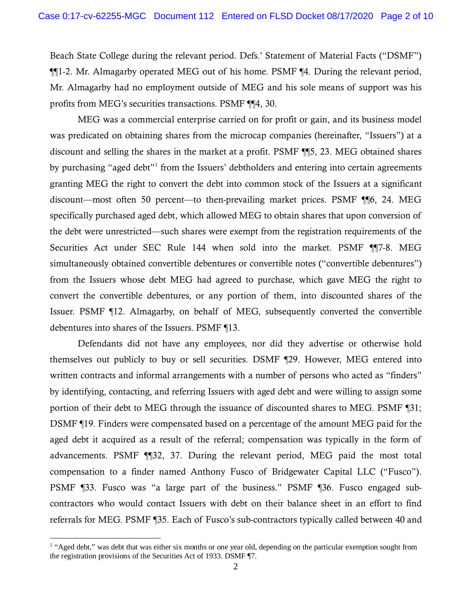Beach State College during the relevant period. Defs.' Statement of Material Facts ("DSMF") ¶¶1-2. Mr. Almagarby operated MEG out of his home. PSMF ¶4. During the relevant period, Mr. Almagarby had no employment outside of MEG and his sole means of support was his profits from MEG's securities transactions. PSMF ¶¶4, 30.

MEG was a commercial enterprise carried on for profit or gain, and its business model was predicated on obtaining shares from the microcap companies (hereinafter, "Issuers") at a discount and selling the shares in the market at a profit. PSMF ¶¶5, 23. MEG obtained shares by purchasing "aged debt"[1](#page-1-0) from the Issuers' debtholders and entering into certain agreements granting MEG the right to convert the debt into common stock of the Issuers at a significant discount—most often 50 percent—to then-prevailing market prices. PSMF ¶¶6, 24. MEG specifically purchased aged debt, which allowed MEG to obtain shares that upon conversion of the debt were unrestricted—such shares were exempt from the registration requirements of the Securities Act under SEC Rule 144 when sold into the market. PSMF ¶¶7-8. MEG simultaneously obtained convertible debentures or convertible notes ("convertible debentures") from the Issuers whose debt MEG had agreed to purchase, which gave MEG the right to convert the convertible debentures, or any portion of them, into discounted shares of the Issuer. PSMF ¶12. Almagarby, on behalf of MEG, subsequently converted the convertible debentures into shares of the Issuers. PSMF ¶13.

Defendants did not have any employees, nor did they advertise or otherwise hold themselves out publicly to buy or sell securities. DSMF ¶29. However, MEG entered into written contracts and informal arrangements with a number of persons who acted as "finders" by identifying, contacting, and referring Issuers with aged debt and were willing to assign some portion of their debt to MEG through the issuance of discounted shares to MEG. PSMF ¶31; DSMF ¶19. Finders were compensated based on a percentage of the amount MEG paid for the aged debt it acquired as a result of the referral; compensation was typically in the form of advancements. PSMF ¶¶32, 37. During the relevant period, MEG paid the most total compensation to a finder named Anthony Fusco of Bridgewater Capital LLC ("Fusco"). PSMF ¶33. Fusco was "a large part of the business." PSMF ¶36. Fusco engaged subcontractors who would contact Issuers with debt on their balance sheet in an effort to find referrals for MEG. PSMF ¶35. Each of Fusco's sub-contractors typically called between 40 and

<span id="page-1-0"></span> $<sup>1</sup>$  "Aged debt," was debt that was either six months or one year old, depending on the particular exemption sought from</sup> the registration provisions of the Securities Act of 1933. DSMF ¶7.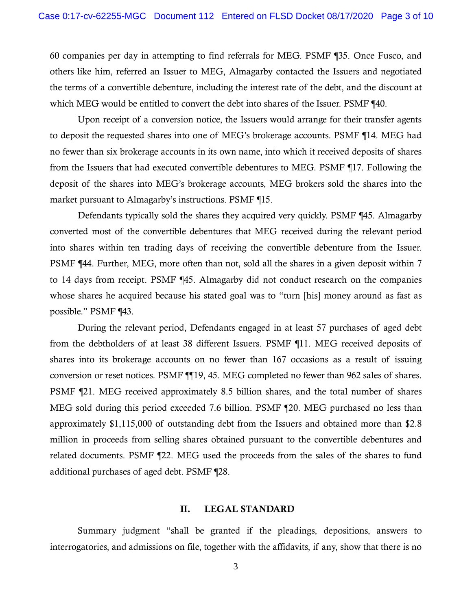60 companies per day in attempting to find referrals for MEG. PSMF ¶35. Once Fusco, and others like him, referred an Issuer to MEG, Almagarby contacted the Issuers and negotiated the terms of a convertible debenture, including the interest rate of the debt, and the discount at which MEG would be entitled to convert the debt into shares of the Issuer. PSMF ¶40.

Upon receipt of a conversion notice, the Issuers would arrange for their transfer agents to deposit the requested shares into one of MEG's brokerage accounts. PSMF ¶14. MEG had no fewer than six brokerage accounts in its own name, into which it received deposits of shares from the Issuers that had executed convertible debentures to MEG. PSMF ¶17. Following the deposit of the shares into MEG's brokerage accounts, MEG brokers sold the shares into the market pursuant to Almagarby's instructions. PSMF ¶15.

Defendants typically sold the shares they acquired very quickly. PSMF ¶45. Almagarby converted most of the convertible debentures that MEG received during the relevant period into shares within ten trading days of receiving the convertible debenture from the Issuer. PSMF ¶44. Further, MEG, more often than not, sold all the shares in a given deposit within 7 to 14 days from receipt. PSMF ¶45. Almagarby did not conduct research on the companies whose shares he acquired because his stated goal was to "turn [his] money around as fast as possible." PSMF ¶43.

During the relevant period, Defendants engaged in at least 57 purchases of aged debt from the debtholders of at least 38 different Issuers. PSMF ¶11. MEG received deposits of shares into its brokerage accounts on no fewer than 167 occasions as a result of issuing conversion or reset notices. PSMF ¶¶19, 45. MEG completed no fewer than 962 sales of shares. PSMF ¶21. MEG received approximately 8.5 billion shares, and the total number of shares MEG sold during this period exceeded 7.6 billion. PSMF ¶20. MEG purchased no less than approximately \$1,115,000 of outstanding debt from the Issuers and obtained more than \$2.8 million in proceeds from selling shares obtained pursuant to the convertible debentures and related documents. PSMF ¶22. MEG used the proceeds from the sales of the shares to fund additional purchases of aged debt. PSMF ¶28.

### II. LEGAL STANDARD

Summary judgment "shall be granted if the pleadings, depositions, answers to interrogatories, and admissions on file, together with the affidavits, if any, show that there is no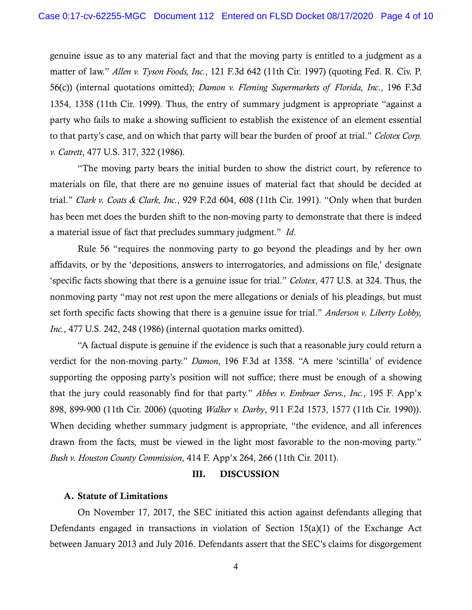genuine issue as to any material fact and that the moving party is entitled to a judgment as a matter of law." *Allen v. Tyson Foods, Inc.*, 121 F.3d 642 (11th Cir. 1997) (quoting Fed. R. Civ. P. 56(c)) (internal quotations omitted); *Damon v. Fleming Supermarkets of Florida, Inc*., 196 F.3d 1354, 1358 (11th Cir. 1999). Thus, the entry of summary judgment is appropriate "against a party who fails to make a showing sufficient to establish the existence of an element essential to that party's case, and on which that party will bear the burden of proof at trial." *Celotex Corp. v. Catrett*, 477 U.S. 317, 322 (1986).

"The moving party bears the initial burden to show the district court, by reference to materials on file, that there are no genuine issues of material fact that should be decided at trial." *Clark v. Coats & Clark, Inc.*, 929 F.2d 604, 608 (11th Cir. 1991). "Only when that burden has been met does the burden shift to the non-moving party to demonstrate that there is indeed a material issue of fact that precludes summary judgment." *Id*.

Rule 56 "requires the nonmoving party to go beyond the pleadings and by her own affidavits, or by the 'depositions, answers to interrogatories, and admissions on file,' designate 'specific facts showing that there is a genuine issue for trial." *Celotex*, 477 U.S. at 324. Thus, the nonmoving party "may not rest upon the mere allegations or denials of his pleadings, but must set forth specific facts showing that there is a genuine issue for trial." *Anderson v. Liberty Lobby, Inc.*, 477 U.S. 242, 248 (1986) (internal quotation marks omitted).

"A factual dispute is genuine if the evidence is such that a reasonable jury could return a verdict for the non-moving party." *Damon*, 196 F.3d at 1358. "A mere 'scintilla' of evidence supporting the opposing party's position will not suffice; there must be enough of a showing that the jury could reasonably find for that party." *Abbes v. Embraer Servs., Inc.*, 195 F. App'x 898, 899-900 (11th Cir. 2006) (quoting *Walker v. Darby*, 911 F.2d 1573, 1577 (11th Cir. 1990)). When deciding whether summary judgment is appropriate, "the evidence, and all inferences drawn from the facts, must be viewed in the light most favorable to the non-moving party." *Bush v. Houston County Commission*, 414 F. App'x 264, 266 (11th Cir. 2011).

#### III. DISCUSSION

## A. Statute of Limitations

On November 17, 2017, the SEC initiated this action against defendants alleging that Defendants engaged in transactions in violation of Section 15(a)(1) of the Exchange Act between January 2013 and July 2016. Defendants assert that the SEC's claims for disgorgement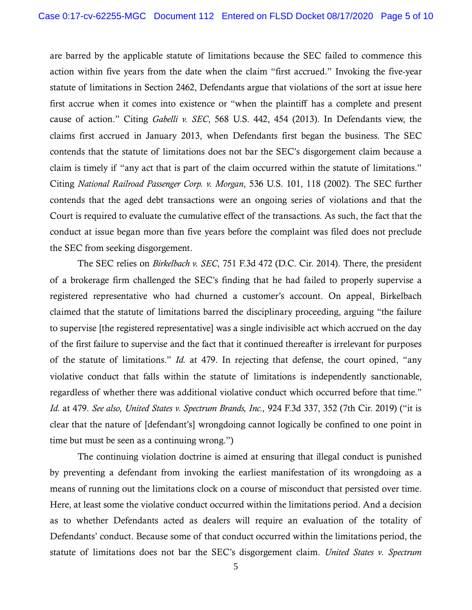are barred by the applicable statute of limitations because the SEC failed to commence this action within five years from the date when the claim "first accrued." Invoking the five-year statute of limitations in Section 2462, Defendants argue that violations of the sort at issue here first accrue when it comes into existence or "when the plaintiff has a complete and present cause of action." Citing *Gabelli v. SEC*, 568 U.S. 442, 454 (2013). In Defendants view, the claims first accrued in January 2013, when Defendants first began the business. The SEC contends that the statute of limitations does not bar the SEC's disgorgement claim because a claim is timely if "any act that is part of the claim occurred within the statute of limitations." Citing *National Railroad Passenger Corp. v. Morgan*, 536 U.S. 101, 118 (2002). The SEC further contends that the aged debt transactions were an ongoing series of violations and that the Court is required to evaluate the cumulative effect of the transactions. As such, the fact that the conduct at issue began more than five years before the complaint was filed does not preclude the SEC from seeking disgorgement.

The SEC relies on *Birkelbach v. SEC*, 751 F.3d 472 (D.C. Cir. 2014). There, the president of a brokerage firm challenged the SEC's finding that he had failed to properly supervise a registered representative who had churned a customer's account. On appeal, Birkelbach claimed that the statute of limitations barred the disciplinary proceeding, arguing "the failure to supervise [the registered representative] was a single indivisible act which accrued on the day of the first failure to supervise and the fact that it continued thereafter is irrelevant for purposes of the statute of limitations." *Id.* at 479. In rejecting that defense, the court opined, "any violative conduct that falls within the statute of limitations is independently sanctionable, regardless of whether there was additional violative conduct which occurred before that time." *Id.* at 479. *See also, United States v. Spectrum Brands, Inc.,* 924 F.3d 337, 352 (7th Cir. 2019) ("it is clear that the nature of [defendant's] wrongdoing cannot logically be confined to one point in time but must be seen as a continuing wrong.")

The continuing violation doctrine is aimed at ensuring that illegal conduct is punished by preventing a defendant from invoking the earliest manifestation of its wrongdoing as a means of running out the limitations clock on a course of misconduct that persisted over time. Here, at least some the violative conduct occurred within the limitations period. And a decision as to whether Defendants acted as dealers will require an evaluation of the totality of Defendants' conduct. Because some of that conduct occurred within the limitations period, the statute of limitations does not bar the SEC's disgorgement claim. *United States v. Spectrum*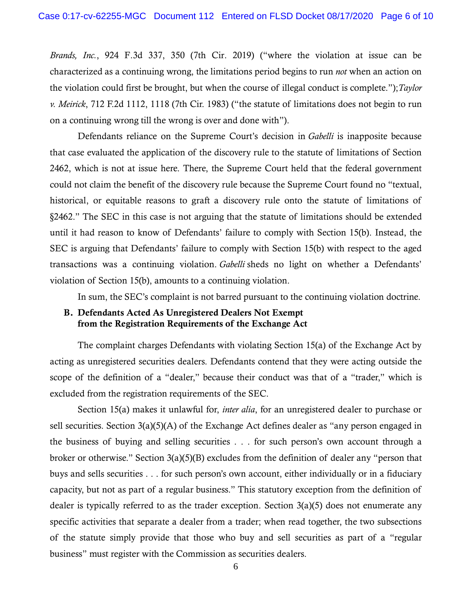*Brands, Inc.*, 924 F.3d 337, 350 (7th Cir. 2019) ("where the violation at issue can be characterized as a continuing wrong, the limitations period begins to run *not* when an action on the violation could first be brought, but when the course of illegal conduct is complete.");*Taylor v. Meirick*, 712 F.2d 1112, 1118 (7th Cir. 1983) ("the statute of limitations does not begin to run on a continuing wrong till the wrong is over and done with").

Defendants reliance on the Supreme Court's decision in *Gabelli* is inapposite because that case evaluated the application of the discovery rule to the statute of limitations of Section 2462, which is not at issue here. There, the Supreme Court held that the federal government could not claim the benefit of the discovery rule because the Supreme Court found no "textual, historical, or equitable reasons to graft a discovery rule onto the statute of limitations of §2462." The SEC in this case is not arguing that the statute of limitations should be extended until it had reason to know of Defendants' failure to comply with Section 15(b). Instead, the SEC is arguing that Defendants' failure to comply with Section 15(b) with respect to the aged transactions was a continuing violation. *Gabelli* sheds no light on whether a Defendants' violation of Section 15(b), amounts to a continuing violation.

In sum, the SEC's complaint is not barred pursuant to the continuing violation doctrine.

# B. Defendants Acted As Unregistered Dealers Not Exempt from the Registration Requirements of the Exchange Act

The complaint charges Defendants with violating Section 15(a) of the Exchange Act by acting as unregistered securities dealers. Defendants contend that they were acting outside the scope of the definition of a "dealer," because their conduct was that of a "trader," which is excluded from the registration requirements of the SEC.

Section 15(a) makes it unlawful for, *inter alia*, for an unregistered dealer to purchase or sell securities. Section 3(a)(5)(A) of the Exchange Act defines dealer as "any person engaged in the business of buying and selling securities . . . for such person's own account through a broker or otherwise." Section 3(a)(5)(B) excludes from the definition of dealer any "person that buys and sells securities . . . for such person's own account, either individually or in a fiduciary capacity, but not as part of a regular business." This statutory exception from the definition of dealer is typically referred to as the trader exception. Section  $3(a)(5)$  does not enumerate any specific activities that separate a dealer from a trader; when read together, the two subsections of the statute simply provide that those who buy and sell securities as part of a "regular business" must register with the Commission as securities dealers.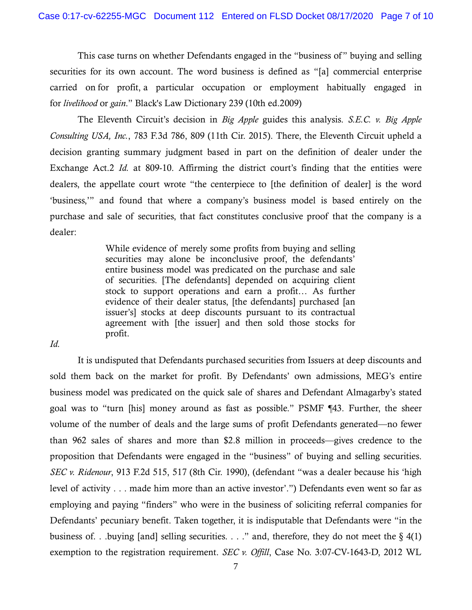This case turns on whether Defendants engaged in the "business of " buying and selling securities for its own account. The word business is defined as "[a] commercial enterprise carried on for profit, a particular occupation or employment habitually engaged in for *livelihood* or *gain*." Black's Law Dictionary 239 (10th ed.2009)

The Eleventh Circuit's decision in *Big Apple* guides this analysis. *S.E.C. v. Big Apple Consulting USA, Inc.*, 783 F.3d 786, 809 (11th Cir. 2015). There, the Eleventh Circuit upheld a decision granting summary judgment based in part on the definition of dealer under the Exchange Act.2 *Id.* at 809-10. Affirming the district court's finding that the entities were dealers, the appellate court wrote "the centerpiece to [the definition of dealer] is the word 'business,'" and found that where a company's business model is based entirely on the purchase and sale of securities, that fact constitutes conclusive proof that the company is a dealer:

> While evidence of merely some profits from buying and selling securities may alone be inconclusive proof, the defendants' entire business model was predicated on the purchase and sale of securities. [The defendants] depended on acquiring client stock to support operations and earn a profit… As further evidence of their dealer status, [the defendants] purchased [an issuer's] stocks at deep discounts pursuant to its contractual agreement with [the issuer] and then sold those stocks for profit.

*Id.* 

It is undisputed that Defendants purchased securities from Issuers at deep discounts and sold them back on the market for profit. By Defendants' own admissions, MEG's entire business model was predicated on the quick sale of shares and Defendant Almagarby's stated goal was to "turn [his] money around as fast as possible." PSMF ¶43. Further, the sheer volume of the number of deals and the large sums of profit Defendants generated—no fewer than 962 sales of shares and more than \$2.8 million in proceeds—gives credence to the proposition that Defendants were engaged in the "business" of buying and selling securities. *SEC v. Ridenour*, 913 F.2d 515, 517 (8th Cir. 1990), (defendant "was a dealer because his 'high level of activity . . . made him more than an active investor'.") Defendants even went so far as employing and paying "finders" who were in the business of soliciting referral companies for Defendants' pecuniary benefit. Taken together, it is indisputable that Defendants were "in the business of. . .buying [and] selling securities. . . ." and, therefore, they do not meet the  $\S$  4(1) exemption to the registration requirement. *SEC v. Offill*, Case No. 3:07-CV-1643-D, 2012 WL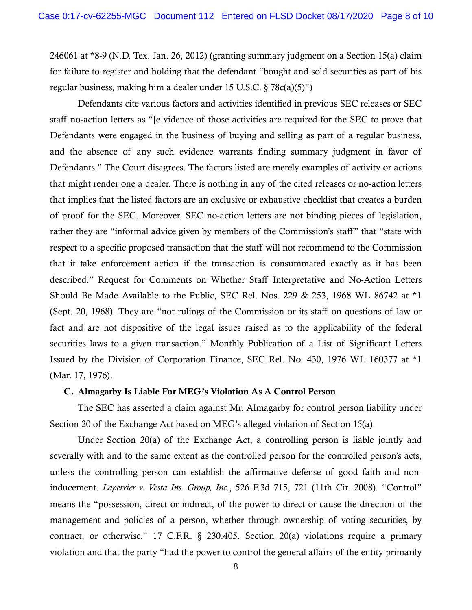246061 at \*8-9 (N.D. Tex. Jan. 26, 2012) (granting summary judgment on a Section 15(a) claim for failure to register and holding that the defendant "bought and sold securities as part of his regular business, making him a dealer under 15 U.S.C. § 78c(a)(5)")

Defendants cite various factors and activities identified in previous SEC releases or SEC staff no-action letters as "[e]vidence of those activities are required for the SEC to prove that Defendants were engaged in the business of buying and selling as part of a regular business, and the absence of any such evidence warrants finding summary judgment in favor of Defendants." The Court disagrees. The factors listed are merely examples of activity or actions that might render one a dealer. There is nothing in any of the cited releases or no-action letters that implies that the listed factors are an exclusive or exhaustive checklist that creates a burden of proof for the SEC. Moreover, SEC no-action letters are not binding pieces of legislation, rather they are "informal advice given by members of the Commission's staff" that "state with respect to a specific proposed transaction that the staff will not recommend to the Commission that it take enforcement action if the transaction is consummated exactly as it has been described." Request for Comments on Whether Staff Interpretative and No-Action Letters Should Be Made Available to the Public, SEC Rel. Nos. 229 & 253, 1968 WL 86742 at \*1 (Sept. 20, 1968). They are "not rulings of the Commission or its staff on questions of law or fact and are not dispositive of the legal issues raised as to the applicability of the federal securities laws to a given transaction." Monthly Publication of a List of Significant Letters Issued by the Division of Corporation Finance, SEC Rel. No. 430, 1976 WL 160377 at \*1 (Mar. 17, 1976).

# C. Almagarby Is Liable For MEG's Violation As A Control Person

The SEC has asserted a claim against Mr. Almagarby for control person liability under Section 20 of the Exchange Act based on MEG's alleged violation of Section 15(a).

Under Section 20(a) of the Exchange Act, a controlling person is liable jointly and severally with and to the same extent as the controlled person for the controlled person's acts, unless the controlling person can establish the affirmative defense of good faith and noninducement. *Laperrier v. Vesta Ins. Group, Inc.*, 526 F.3d 715, 721 (11th Cir. 2008). "Control" means the "possession, direct or indirect, of the power to direct or cause the direction of the management and policies of a person, whether through ownership of voting securities, by contract, or otherwise." 17 C.F.R. § 230.405. Section 20(a) violations require a primary violation and that the party "had the power to control the general affairs of the entity primarily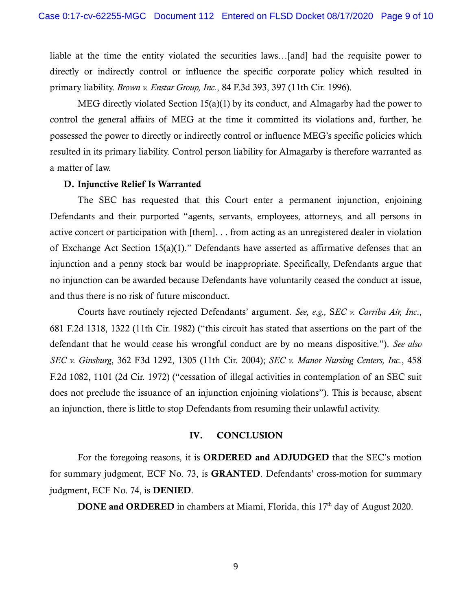liable at the time the entity violated the securities laws…[and] had the requisite power to directly or indirectly control or influence the specific corporate policy which resulted in primary liability. *Brown v. Enstar Group, Inc.*, 84 F.3d 393, 397 (11th Cir. 1996).

MEG directly violated Section 15(a)(1) by its conduct, and Almagarby had the power to control the general affairs of MEG at the time it committed its violations and, further, he possessed the power to directly or indirectly control or influence MEG's specific policies which resulted in its primary liability. Control person liability for Almagarby is therefore warranted as a matter of law.

# D. Injunctive Relief Is Warranted

The SEC has requested that this Court enter a permanent injunction, enjoining Defendants and their purported "agents, servants, employees, attorneys, and all persons in active concert or participation with [them]. . . from acting as an unregistered dealer in violation of Exchange Act Section 15(a)(1)." Defendants have asserted as affirmative defenses that an injunction and a penny stock bar would be inappropriate. Specifically, Defendants argue that no injunction can be awarded because Defendants have voluntarily ceased the conduct at issue, and thus there is no risk of future misconduct.

Courts have routinely rejected Defendants' argument. *See, e.g.,* S*EC v. Carriba Air, Inc*., 681 F.2d 1318, 1322 (11th Cir. 1982) ("this circuit has stated that assertions on the part of the defendant that he would cease his wrongful conduct are by no means dispositive."). *See also SEC v. Ginsburg*, 362 F3d 1292, 1305 (11th Cir. 2004); *SEC v. Manor Nursing Centers, Inc.*, 458 F.2d 1082, 1101 (2d Cir. 1972) ("cessation of illegal activities in contemplation of an SEC suit does not preclude the issuance of an injunction enjoining violations"). This is because, absent an injunction, there is little to stop Defendants from resuming their unlawful activity.

# IV. CONCLUSION

For the foregoing reasons, it is ORDERED and ADJUDGED that the SEC's motion for summary judgment, ECF No. 73, is GRANTED. Defendants' cross-motion for summary judgment, ECF No. 74, is DENIED.

DONE and ORDERED in chambers at Miami, Florida, this 17<sup>th</sup> day of August 2020.

9